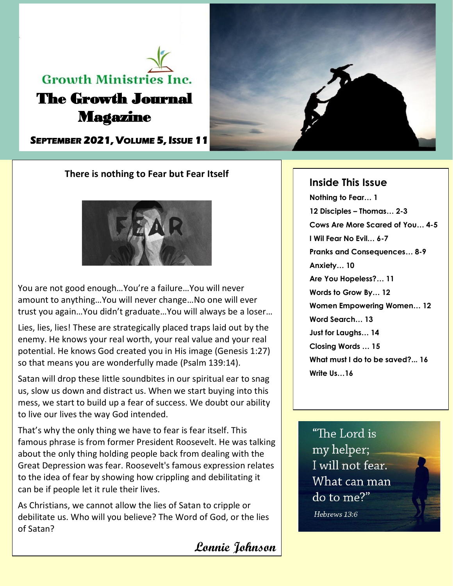# **Growth Ministries Inc.** The Growth Journal Magazine

**SEPTEMBER 2021, VOLUME 5, ISSUE 11** 



# **There is nothing to Fear but Fear Itself**



You are not good enough…You're a failure…You will never amount to anything…You will never change…No one will ever trust you again…You didn't graduate…You will always be a loser…

Lies, lies, lies! These are strategically placed traps laid out by the enemy. He knows your real worth, your real value and your real potential. He knows God created you in His image (Genesis 1:27) so that means you are wonderfully made (Psalm 139:14).

Satan will drop these little soundbites in our spiritual ear to snag us, slow us down and distract us. When we start buying into this mess, we start to build up a fear of success. We doubt our ability to live our lives the way God intended.

That's why the only thing we have to fear is fear itself. This famous phrase is from former President Roosevelt. He was talking about the only thing holding people back from dealing with the Great Depression was fear. Roosevelt's famous expression relates to the idea of fear by showing how crippling and debilitating it can be if people let it rule their lives.

As Christians, we cannot allow the lies of Satan to cripple or debilitate us. Who will you believe? The Word of God, or the lies of Satan?

**Lonnie Johnson**

# **Inside This Issue**

**Nothing to Fear… 1 12 Disciples – Thomas… 2-3 Cows Are More Scared of You… 4-5 I Wil Fear No Evil… 6-7 Pranks and Consequences… 8-9 Anxiety… 10 Are You Hopeless?… 11 Words to Grow By… 12 Women Empowering Women… 12 Word Search… 13 Just for Laughs… 14 Closing Words … 15 What must I do to be saved?... 16 Write Us…16**

"The Lord is my helper; I will not fear. What can man do to me?" Hebrews 13:6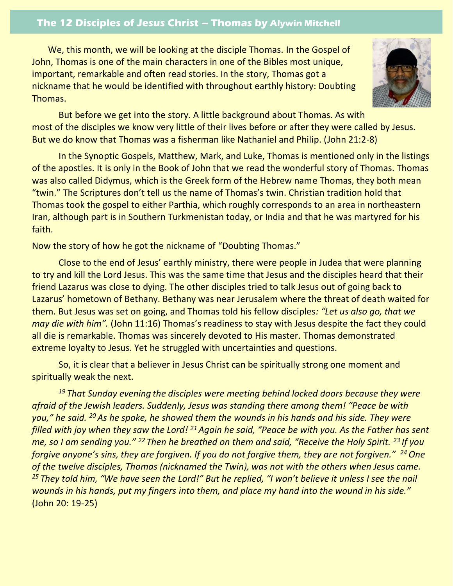# **The 12 Disciples of Jesus Christ – Thomas by Alywin Mitchell**

We, this month, we will be looking at the disciple Thomas. In the Gospel of John, Thomas is one of the main characters in one of the Bibles most unique, important, remarkable and often read stories. In the story, Thomas got a nickname that he would be identified with throughout earthly history: Doubting Thomas.



But before we get into the story. A little background about Thomas. As with most of the disciples we know very little of their lives before or after they were called by Jesus. But we do know that Thomas was a fisherman like Nathaniel and Philip. (John 21:2-8)

In the Synoptic Gospels, Matthew, Mark, and Luke, Thomas is mentioned only in the listings of the apostles. It is only in the Book of John that we read the wonderful story of Thomas. Thomas was also called Didymus, which is the Greek form of the Hebrew name Thomas, they both mean "twin." The Scriptures don't tell us the name of Thomas's twin. Christian tradition hold that Thomas took the gospel to either Parthia, which roughly corresponds to an area in northeastern Iran, although part is in Southern Turkmenistan today, or India and that he was martyred for his faith.

Now the story of how he got the nickname of "Doubting Thomas."

Close to the end of Jesus' earthly ministry, there were people in Judea that were planning to try and kill the Lord Jesus. This was the same time that Jesus and the disciples heard that their friend Lazarus was close to dying. The other disciples tried to talk Jesus out of going back to Lazarus' hometown of Bethany. Bethany was near Jerusalem where the threat of death waited for them. But Jesus was set on going, and Thomas told his fellow disciples*: "Let us also go, that we may die with him".* (John 11:16) Thomas's readiness to stay with Jesus despite the fact they could all die is remarkable. Thomas was sincerely devoted to His master. Thomas demonstrated extreme loyalty to Jesus. Yet he struggled with uncertainties and questions.

So, it is clear that a believer in Jesus Christ can be spiritually strong one moment and spiritually weak the next.

*<sup>19</sup> That Sunday evening the disciples were meeting behind locked doors because they were afraid of the Jewish leaders. Suddenly, Jesus was standing there among them! "Peace be with you," he said. <sup>20</sup> As he spoke, he showed them the wounds in his hands and his side. They were filled with joy when they saw the Lord! <sup>21</sup>Again he said, "Peace be with you. As the Father has sent me, so I am sending you." <sup>22</sup> Then he breathed on them and said, "Receive the Holy Spirit. <sup>23</sup> If you forgive anyone's sins, they are forgiven. If you do not forgive them, they are not forgiven." <sup>24</sup>One of the twelve disciples, Thomas (nicknamed the Twin), was not with the others when Jesus came. <sup>25</sup> They told him, "We have seen the Lord!" But he replied, "I won't believe it unless I see the nail wounds in his hands, put my fingers into them, and place my hand into the wound in his side."* (John 20: 19-25)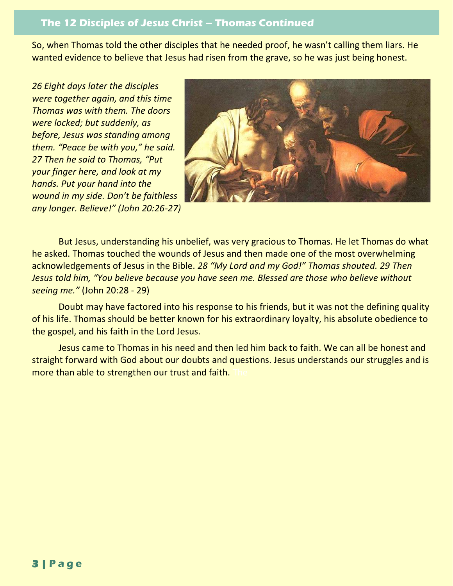# **The 12 Disciples of Jesus Christ – Thomas Continued**

So, when Thomas told the other disciples that he needed proof, he wasn't calling them liars. He wanted evidence to believe that Jesus had risen from the grave, so he was just being honest.

*26 Eight days later the disciples were together again, and this time Thomas was with them. The doors were locked; but suddenly, as before, Jesus was standing among them. "Peace be with you," he said. 27 Then he said to Thomas, "Put your finger here, and look at my hands. Put your hand into the wound in my side. Don't be faithless any longer. Believe!" (John 20:26-27)* 



But Jesus, understanding his unbelief, was very gracious to Thomas. He let Thomas do what he asked. Thomas touched the wounds of Jesus and then made one of the most overwhelming acknowledgements of Jesus in the Bible. *28 "My Lord and my God!" Thomas shouted. 29 Then Jesus told him, "You believe because you have seen me. Blessed are those who believe without seeing me."* (John 20:28 - 29)

Doubt may have factored into his response to his friends, but it was not the defining quality of his life. Thomas should be better known for his extraordinary loyalty, his absolute obedience to the gospel, and his faith in the Lord Jesus.

Jesus came to Thomas in his need and then led him back to faith. We can all be honest and straight forward with God about our doubts and questions. Jesus understands our struggles and is more than able to strengthen our trust and faith.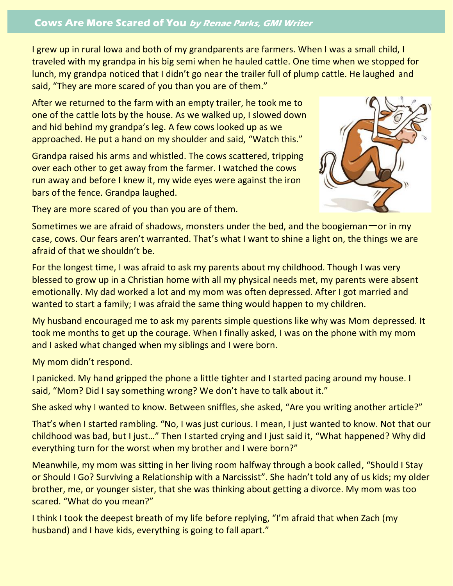# **Cows Are More Scared of You by Renae Parks, GMI Writer**

I grew up in rural Iowa and both of my grandparents are farmers. When I was a small child, I traveled with my grandpa in his big semi when he hauled cattle. One time when we stopped for lunch, my grandpa noticed that I didn't go near the trailer full of plump cattle. He laughed and said, "They are more scared of you than you are of them."

After we returned to the farm with an empty trailer, he took me to one of the cattle lots by the house. As we walked up, I slowed down and hid behind my grandpa's leg. A few cows looked up as we approached. He put a hand on my shoulder and said, "Watch this."

Grandpa raised his arms and whistled. The cows scattered, tripping over each other to get away from the farmer. I watched the cows run away and before I knew it, my wide eyes were against the iron bars of the fence. Grandpa laughed.



They are more scared of you than you are of them.

Sometimes we are afraid of shadows, monsters under the bed, and the boogieman  $-$  or in my case, cows. Our fears aren't warranted. That's what I want to shine a light on, the things we are afraid of that we shouldn't be.

For the longest time, I was afraid to ask my parents about my childhood. Though I was very blessed to grow up in a Christian home with all my physical needs met, my parents were absent emotionally. My dad worked a lot and my mom was often depressed. After I got married and wanted to start a family; I was afraid the same thing would happen to my children.

My husband encouraged me to ask my parents simple questions like why was Mom depressed. It took me months to get up the courage. When I finally asked, I was on the phone with my mom and I asked what changed when my siblings and I were born.

My mom didn't respond.

I panicked. My hand gripped the phone a little tighter and I started pacing around my house. I said, "Mom? Did I say something wrong? We don't have to talk about it."

She asked why I wanted to know. Between sniffles, she asked, "Are you writing another article?"

That's when I started rambling. "No, I was just curious. I mean, I just wanted to know. Not that our childhood was bad, but I just…" Then I started crying and I just said it, "What happened? Why did everything turn for the worst when my brother and I were born?"

Meanwhile, my mom was sitting in her living room halfway through a book called, "Should I Stay or Should I Go? Surviving a Relationship with a Narcissist". She hadn't told any of us kids; my older brother, me, or younger sister, that she was thinking about getting a divorce. My mom was too scared. "What do you mean?"

I think I took the deepest breath of my life before replying, "I'm afraid that when Zach (my husband) and I have kids, everything is going to fall apart."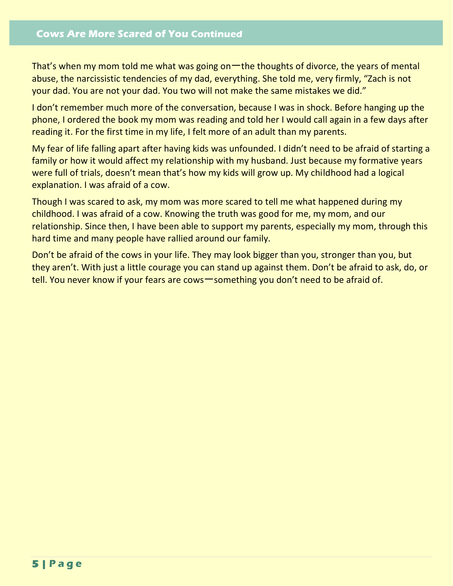That's when my mom told me what was going on一the thoughts of divorce, the years of mental abuse, the narcissistic tendencies of my dad, everything. She told me, very firmly, "Zach is not your dad. You are not your dad. You two will not make the same mistakes we did."

I don't remember much more of the conversation, because I was in shock. Before hanging up the phone, I ordered the book my mom was reading and told her I would call again in a few days after reading it. For the first time in my life, I felt more of an adult than my parents.

My fear of life falling apart after having kids was unfounded. I didn't need to be afraid of starting a family or how it would affect my relationship with my husband. Just because my formative years were full of trials, doesn't mean that's how my kids will grow up. My childhood had a logical explanation. I was afraid of a cow.

Though I was scared to ask, my mom was more scared to tell me what happened during my childhood. I was afraid of a cow. Knowing the truth was good for me, my mom, and our relationship. Since then, I have been able to support my parents, especially my mom, through this hard time and many people have rallied around our family.

Don't be afraid of the cows in your life. They may look bigger than you, stronger than you, but they aren't. With just a little courage you can stand up against them. Don't be afraid to ask, do, or tell. You never know if your fears are cows一something you don't need to be afraid of.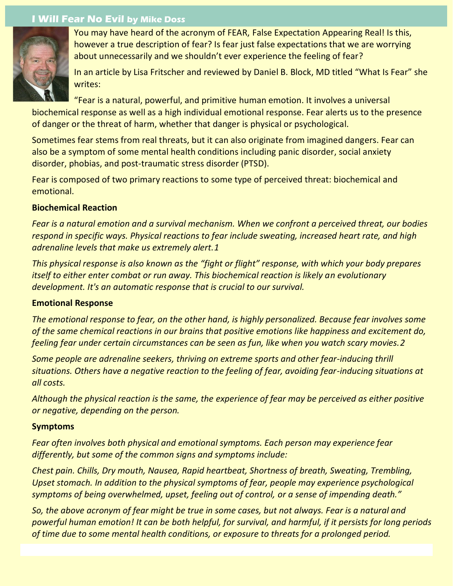# **I Will Fear No Evil by Mike Doss**



You may have heard of the acronym of FEAR, False Expectation Appearing Real! Is this, however a true description of fear? Is fear just false expectations that we are worrying about unnecessarily and we shouldn't ever experience the feeling of fear?

In an article by Lisa Fritscher and reviewed by Daniel B. Block, MD titled "What Is Fear" she writes:

"Fear is a natural, powerful, and primitive human emotion. It involves a universal biochemical response as well as a high individual emotional response. Fear alerts us to the presence of danger or the threat of harm, whether that danger is physical or psychological.

Sometimes fear stems from real threats, but it can also originate from imagined dangers. Fear can also be a symptom of some mental health conditions including panic disorder, social anxiety disorder, phobias, and post-traumatic stress disorder (PTSD).

Fear is composed of two primary reactions to some type of perceived threat: biochemical and emotional.

### **Biochemical Reaction**

*Fear is a natural emotion and a survival mechanism. When we confront a perceived threat, our bodies respond in specific ways. Physical reactions to fear include sweating, increased heart rate, and high adrenaline levels that make us extremely alert.1*

*This physical response is also known as the "fight or flight" response, with which your body prepares itself to either enter combat or run away. This biochemical reaction is likely an evolutionary development. It's an automatic response that is crucial to our survival.*

#### **Emotional Response**

*The emotional response to fear, on the other hand, is highly personalized. Because fear involves some of the same chemical reactions in our brains that positive emotions like happiness and excitement do, feeling fear under certain circumstances can be seen as fun, like when you watch scary movies.2*

*Some people are adrenaline seekers, thriving on extreme sports and other fear-inducing thrill situations. Others have a negative reaction to the feeling of fear, avoiding fear-inducing situations at all costs.*

*Although the physical reaction is the same, the experience of fear may be perceived as either positive or negative, depending on the person.*

#### **Symptoms**

*Fear often involves both physical and emotional symptoms. Each person may experience fear differently, but some of the common signs and symptoms include:*

*Chest pain. Chills, Dry mouth, Nausea, Rapid heartbeat, Shortness of breath, Sweating, Trembling, Upset stomach. In addition to the physical symptoms of fear, people may experience psychological symptoms of being overwhelmed, upset, feeling out of control, or a sense of impending death."*

*So, the above acronym of fear might be true in some cases, but not always. Fear is a natural and powerful human emotion! It can be both helpful, for survival, and harmful, if it persists for long periods of time due to some mental health conditions, or exposure to threats for a prolonged period.*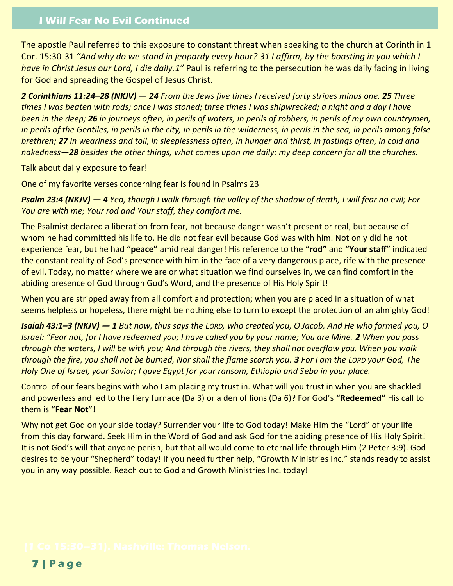# **I Will Fear No Evil Continued**

The apostle Paul referred to this exposure to constant threat when speaking to the church at Corinth in 1 Cor. 15:30-31 *"And why do we stand in jeopardy every hour? 31 I affirm, by the boasting in you which I have in Christ Jesus our Lord, I die daily.1"* Paul is referring to the persecution he was daily facing in living for God and spreading the Gospel of Jesus Christ.

*2 Corinthians 11:24–28 (NKJV) — 24 From the Jews five times I received forty stripes minus one. 25 Three times I was beaten with rods; once I was stoned; three times I was shipwrecked; a night and a day I have been in the deep; 26 in journeys often, in perils of waters, in perils of robbers, in perils of my own countrymen, in perils of the Gentiles, in perils in the city, in perils in the wilderness, in perils in the sea, in perils among false brethren; 27 in weariness and toil, in sleeplessness often, in hunger and thirst, in fastings often, in cold and nakedness—28 besides the other things, what comes upon me daily: my deep concern for all the churches.*

Talk about daily exposure to fear!

One of my favorite verses concerning fear is found in Psalms 23

*Psalm 23:4 (NKJV) — 4 Yea, though I walk through the valley of the shadow of death, I will fear no evil; For You are with me; Your rod and Your staff, they comfort me.*

The Psalmist declared a liberation from fear, not because danger wasn't present or real, but because of whom he had committed his life to. He did not fear evil because God was with him. Not only did he not experience fear, but he had **"peace"** amid real danger! His reference to the **"rod"** and **"Your staff"** indicated the constant reality of God's presence with him in the face of a very dangerous place, rife with the presence of evil. Today, no matter where we are or what situation we find ourselves in, we can find comfort in the abiding presence of God through God's Word, and the presence of His Holy Spirit!

When you are stripped away from all comfort and protection; when you are placed in a situation of what seems helpless or hopeless, there might be nothing else to turn to except the protection of an almighty God!

*Isaiah 43:1–3 (NKJV) — 1 But now, thus says the LORD, who created you, O Jacob, And He who formed you, O Israel: "Fear not, for I have redeemed you; I have called you by your name; You are Mine. 2 When you pass through the waters, I will be with you; And through the rivers, they shall not overflow you. When you walk through the fire, you shall not be burned, Nor shall the flame scorch you. 3 For I am the LORD your God, The Holy One of Israel, your Savior; I gave Egypt for your ransom, Ethiopia and Seba in your place.*

Control of our fears begins with who I am placing my trust in. What will you trust in when you are shackled and powerless and led to the fiery furnace (Da 3) or a den of lions (Da 6)? For God's **"Redeemed"** His call to them is **"Fear Not"**!

Why not get God on your side today? Surrender your life to God today! Make Him the "Lord" of your life from this day forward. Seek Him in the Word of God and ask God for the abiding presence of His Holy Spirit! It is not God's will that anyone perish, but that all would come to eternal life through Him (2 Peter 3:9). God desires to be your "Shepherd" today! If you need further help, "Growth Ministries Inc." stands ready to assist you in any way possible. Reach out to God and Growth Ministries Inc. today!

**7 | P a g e**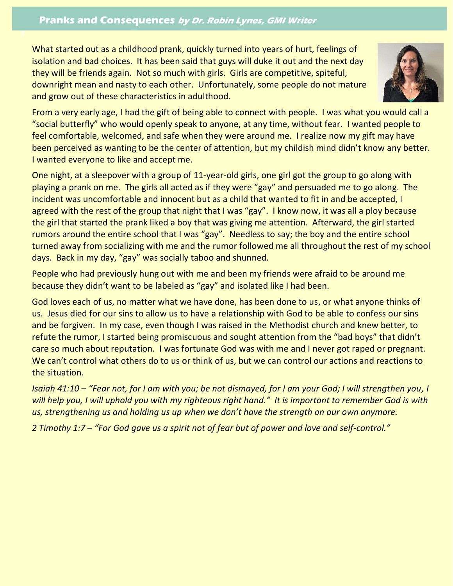## **Pranks and Consequences by Dr. Robin Lynes, GMI Writer**

**!**

What started out as a childhood prank, quickly turned into years of hurt, feelings of isolation and bad choices. It has been said that guys will duke it out and the next day they will be friends again. Not so much with girls. Girls are competitive, spiteful, downright mean and nasty to each other. Unfortunately, some people do not mature and grow out of these characteristics in adulthood.



From a very early age, I had the gift of being able to connect with people. I was what you would call a "social butterfly" who would openly speak to anyone, at any time, without fear. I wanted people to feel comfortable, welcomed, and safe when they were around me. I realize now my gift may have been perceived as wanting to be the center of attention, but my childish mind didn't know any better. I wanted everyone to like and accept me.

One night, at a sleepover with a group of 11-year-old girls, one girl got the group to go along with playing a prank on me. The girls all acted as if they were "gay" and persuaded me to go along. The incident was uncomfortable and innocent but as a child that wanted to fit in and be accepted, I agreed with the rest of the group that night that I was "gay". I know now, it was all a ploy because the girl that started the prank liked a boy that was giving me attention. Afterward, the girl started rumors around the entire school that I was "gay". Needless to say; the boy and the entire school turned away from socializing with me and the rumor followed me all throughout the rest of my school days. Back in my day, "gay" was socially taboo and shunned.

People who had previously hung out with me and been my friends were afraid to be around me because they didn't want to be labeled as "gay" and isolated like I had been.

God loves each of us, no matter what we have done, has been done to us, or what anyone thinks of us. Jesus died for our sins to allow us to have a relationship with God to be able to confess our sins and be forgiven. In my case, even though I was raised in the Methodist church and knew better, to refute the rumor, I started being promiscuous and sought attention from the "bad boys" that didn't care so much about reputation. I was fortunate God was with me and I never got raped or pregnant. We can't control what others do to us or think of us, but we can control our actions and reactions to the situation.

*Isaiah 41:10 – "Fear not, for I am with you; be not dismayed, for I am your God; I will strengthen you, I will help you, I will uphold you with my righteous right hand." It is important to remember God is with us, strengthening us and holding us up when we don't have the strength on our own anymore.*

*2 Timothy 1:7 – "For God gave us a spirit not of fear but of power and love and self-control."*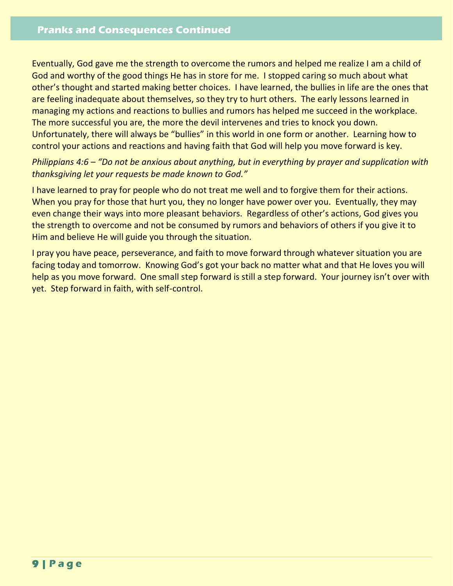Eventually, God gave me the strength to overcome the rumors and helped me realize I am a child of God and worthy of the good things He has in store for me. I stopped caring so much about what other's thought and started making better choices. I have learned, the bullies in life are the ones that are feeling inadequate about themselves, so they try to hurt others. The early lessons learned in managing my actions and reactions to bullies and rumors has helped me succeed in the workplace. The more successful you are, the more the devil intervenes and tries to knock you down. Unfortunately, there will always be "bullies" in this world in one form or another. Learning how to control your actions and reactions and having faith that God will help you move forward is key.

# *Philippians 4:6 – "Do not be anxious about anything, but in everything by prayer and supplication with thanksgiving let your requests be made known to God."*

I have learned to pray for people who do not treat me well and to forgive them for their actions. When you pray for those that hurt you, they no longer have power over you. Eventually, they may even change their ways into more pleasant behaviors. Regardless of other's actions, God gives you the strength to overcome and not be consumed by rumors and behaviors of others if you give it to Him and believe He will guide you through the situation.

I pray you have peace, perseverance, and faith to move forward through whatever situation you are facing today and tomorrow. Knowing God's got your back no matter what and that He loves you will help as you move forward. One small step forward is still a step forward. Your journey isn't over with yet. Step forward in faith, with self-control.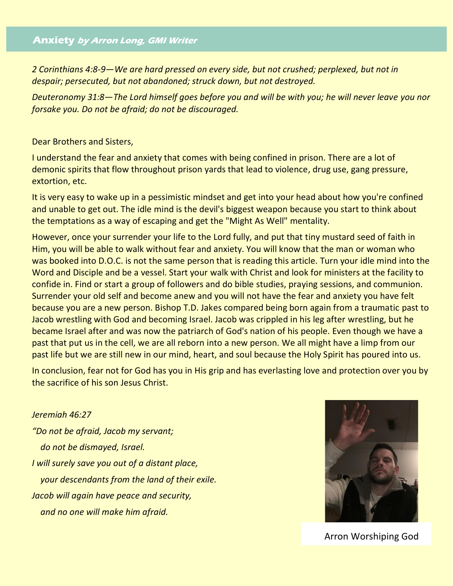### **Anxiety by Arron Long, GMI Writer**

*2 Corinthians 4:8-9—We are hard pressed on every side, but not crushed; perplexed, but not in despair; persecuted, but not abandoned; struck down, but not destroyed.*

*Deuteronomy 31:8—The Lord himself goes before you and will be with you; he will never leave you nor forsake you. Do not be afraid; do not be discouraged.*

Dear Brothers and Sisters,

I understand the fear and anxiety that comes with being confined in prison. There are a lot of demonic spirits that flow throughout prison yards that lead to violence, drug use, gang pressure, extortion, etc.

It is very easy to wake up in a pessimistic mindset and get into your head about how you're confined and unable to get out. The idle mind is the devil's biggest weapon because you start to think about the temptations as a way of escaping and get the "Might As Well" mentality.

However, once your surrender your life to the Lord fully, and put that tiny mustard seed of faith in Him, you will be able to walk without fear and anxiety. You will know that the man or woman who was booked into D.O.C. is not the same person that is reading this article. Turn your idle mind into the Word and Disciple and be a vessel. Start your walk with Christ and look for ministers at the facility to confide in. Find or start a group of followers and do bible studies, praying sessions, and communion. Surrender your old self and become anew and you will not have the fear and anxiety you have felt because you are a new person. Bishop T.D. Jakes compared being born again from a traumatic past to Jacob wrestling with God and becoming Israel. Jacob was crippled in his leg after wrestling, but he became Israel after and was now the patriarch of God's nation of his people. Even though we have a past that put us in the cell, we are all reborn into a new person. We all might have a limp from our past life but we are still new in our mind, heart, and soul because the Holy Spirit has poured into us.

In conclusion, fear not for God has you in His grip and has everlasting love and protection over you by the sacrifice of his son Jesus Christ.

*Jeremiah 46:27 "Do not be afraid, Jacob my servant; do not be dismayed, Israel. I will surely save you out of a distant place, your descendants from the land of their exile. Jacob will again have peace and security, and no one will make him afraid.*



Arron Worshiping God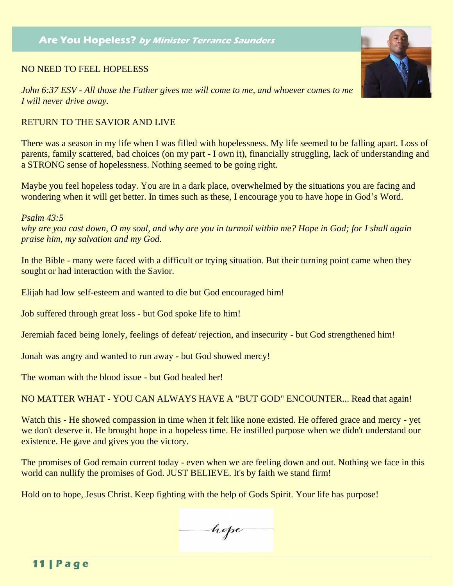# **Are You Hopeless? by Minister Terrance Saunders**

#### NO NEED TO FEEL HOPELESS

*John 6:37 ESV - All those the Father gives me will come to me, and whoever comes to me I will never drive away.*

### RETURN TO THE SAVIOR AND LIVE

There was a season in my life when I was filled with hopelessness. My life seemed to be falling apart. Loss of parents, family scattered, bad choices (on my part - I own it), financially struggling, lack of understanding and a STRONG sense of hopelessness. Nothing seemed to be going right.

Maybe you feel hopeless today. You are in a dark place, overwhelmed by the situations you are facing and wondering when it will get better. In times such as these, I encourage you to have hope in God's Word.

*Psalm 43:5*

*why are you cast down, O my soul, and why are you in turmoil within me? Hope in God; for I shall again praise him, my salvation and my God.*

In the Bible - many were faced with a difficult or trying situation. But their turning point came when they sought or had interaction with the Savior.

Elijah had low self-esteem and wanted to die but God encouraged him!

Job suffered through great loss - but God spoke life to him!

Jeremiah faced being lonely, feelings of defeat/ rejection, and insecurity - but God strengthened him!

Jonah was angry and wanted to run away - but God showed mercy!

The woman with the blood issue - but God healed her!

NO MATTER WHAT - YOU CAN ALWAYS HAVE A "BUT GOD" ENCOUNTER... Read that again!

Watch this - He showed compassion in time when it felt like none existed. He offered grace and mercy - yet we don't deserve it. He brought hope in a hopeless time. He instilled purpose when we didn't understand our existence. He gave and gives you the victory.

The promises of God remain current today - even when we are feeling down and out. Nothing we face in this world can nullify the promises of God. JUST BELIEVE. It's by faith we stand firm!

Hold on to hope, Jesus Christ. Keep fighting with the help of Gods Spirit. Your life has purpose!

hope

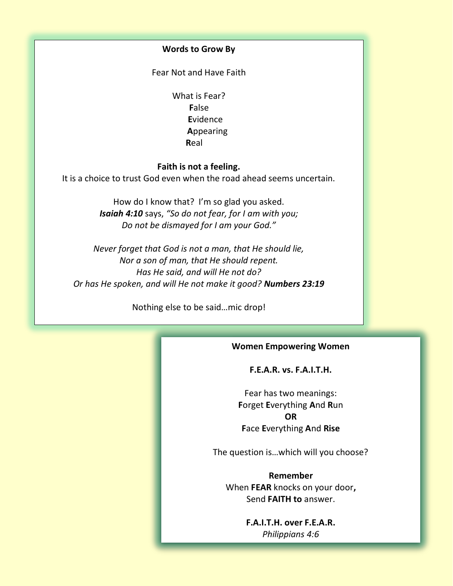#### **Words to Grow By**

Fear Not and Have Faith

What is Fear? **F**alse **E**vidence **A**ppearing **Real** Real Section 2016, the Real Section 2016, the Real Section 2016 19:30

#### **Faith is not a feeling.**

It is a choice to trust God even when the road ahead seems uncertain.

How do I know that? I'm so glad you asked. *Isaiah 4:10* says, *"So do not fear, for I am with you; Do not be dismayed for I am your God."*

*Never forget that God is not a man, that He should lie, Nor a son of man, that He should repent. Has He said, and will He not do? Or has He spoken, and will He not make it good? Numbers 23:19*

Nothing else to be said…mic drop!

#### **Women Empowering Women**

#### **F.E.A.R. vs. F.A.I.T.H.**

Fear has two meanings: **F**orget **E**verything **A**nd **R**un **OR F**ace **E**verything **A**nd **Rise**

The question is…which will you choose?

**Remember**  When **FEAR** knocks on your door**,** Send **FAITH to** answer.

> **F.A.I.T.H. over F.E.A.R.** *Philippians 4:6*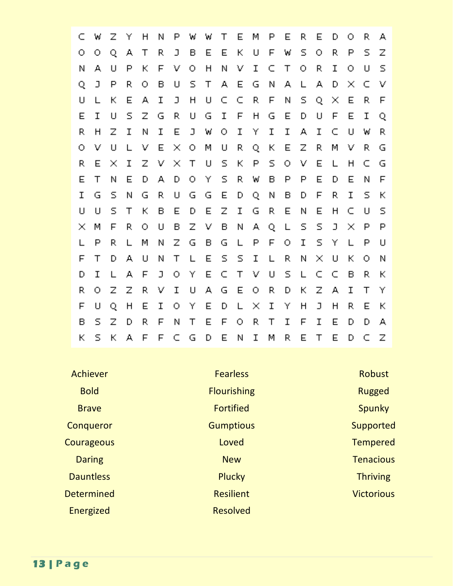| Г             | W            | Ζ              | Υ            | H            | N            | P             | W            | W      | Т            | Е              | М                        | P            | Е            | P.                      | E             | D                        | Ω              | R.                      | А,             |
|---------------|--------------|----------------|--------------|--------------|--------------|---------------|--------------|--------|--------------|----------------|--------------------------|--------------|--------------|-------------------------|---------------|--------------------------|----------------|-------------------------|----------------|
| О             | $\circ$      | Q              | А            | Τ            | R.           | J             | B            | E      | E            | $\mathbb{R}^n$ | $\cup$                   | F            | W            | $\overline{\mathbb{S}}$ | 0             | P.                       | P              | $\overline{\mathsf{S}}$ | Ζ              |
| Ν             | А            | $\Box$         | P            | К            | F            | V             | О            | H      | $\mathbf{N}$ | V              | I                        | C            | Τ            | О                       | R.            | $\mathbf I$              | О              | $\cup$                  | $\overline{5}$ |
| Q             | $\Box$       | P              | R.           | О            | B            | $\sqcup$      | S            | $\top$ | А            | E              | G                        | N            | А            | L                       | А             | D                        | $\mathcal{M}$  | С                       | V              |
| U             | $\mathbf{I}$ | К              | Е            | А            | $\mathbf I$  | $\Box$        | H            | $\cup$ | C.           | C              | R.                       | F            | N            | S                       | Q.            | $\mathcal{N}_\mathrm{c}$ | E              | R.                      | F              |
| E             | $\mathbf I$  | $\Box$         | S            | $\mathbb Z$  | G            | R             | υ            | G      | $\mathbf I$  | F              | H                        | G            | E            | D                       | U             | F                        | E              | $\mathbf I$             | Q              |
| R             | H            | Ζ              | I            | Ν            | $\mathbf{I}$ | E             | $\Box$       | W      | $\bigcirc$   | $\mathbf I$    | Y                        | $\mathbf{I}$ | $\mathbf I$  | А                       | $\mathbf I$   | C                        | $\cup$         | W                       | R.             |
| О             | V            | $\Box$         |              | V            | Е            | $\mathcal{N}$ | $\circ$      | M      | U            | R              | Q                        | $\mathbf{K}$ | E            | Ζ                       | R.            | M                        | V              | P.                      | G              |
| R             | E            | $\mathcal{M}$  | I            | $\mathbb{Z}$ | V            | $\mathcal{N}$ | Τ            | $\cup$ | $\mathsf S$  | К              | P                        | S.           | 0.           | V                       | E             | $\mathbf{I}$             | H              | C                       | G              |
| E             | $\top$       | N              | E            | D            | А            | D             | $\bigcirc$   | Y      | $\mathbb S$  | R              | W                        | $\mathsf B$  | P            | $\mathsf{P}$            | E             | D                        | E              | N                       | F              |
| I             | G            | S              | Ν            | G            | R.           | $\cup$        | G            | G      | Е            | D              | Q                        | Ν            | B            | D                       | F             | R.                       | I              | 5                       | Κ              |
| $\sqcup$      | $\Box$       | $\overline{5}$ | Τ            | K.           | B            | Е             | D            | Е      | Z.           | I              | G                        | R.           | Е            | Ν                       | E             | H                        | C              | IJ                      | $\mathsf{S}$   |
| $\mathcal{A}$ | M            | F              | R.           | О            | U            | B             | Z            | V      | B            | N              | А                        | Q            | $\mathsf{L}$ | S                       | S             | J.                       | $\mathcal{M}$  | P                       | P              |
|               | $\mathsf{P}$ | R.             | $\mathbf{L}$ | М            | N            | Ζ             | G            | B      | G            | $\mathbf{I}$   | P                        | F            | О            | $\mathbf I$             | S             | $\mathbf{Y}$             | $\mathbf{I}$   | $\mathsf{P}$            | $\sqcup$       |
| F             | Τ            | D              | А            | $\sqcup$     | Ν            | T             | $\mathbf{I}$ | E      | $\mathsf S$  | $\mathsf S$    | I                        | $\mathsf{L}$ | P.           | Ν                       | $\mathcal{N}$ | U                        | $\mathbb{R}^n$ | $\bullet$               | N              |
| D             | I            | L              | А            | F            | $\Box$       | О             | Υ            | E      | $\subset$    | Τ              | $\mathbf{V}$             | $\cup$       | S.           | L                       | C             | C                        | $\mathbf{B}$   | R.                      | К              |
| R             | $\bigcirc$   | Ζ              | Ζ            | R            | V            | I             | U            | А      | G            | E              | О                        | R.           | D            | К                       | $\mathbb Z$   | А                        | $\mathbf I$    | T                       | Υ              |
| F             | $\Box$       | $\mathbf{O}$   | H            | E            | $\mathbf I$  | О             | Υ            | E      | D            | L              | $\mathcal{N}_\mathrm{c}$ | $\mathbf I$  | Y            | H                       | נ             | H                        | P.             | Е                       | K              |
| В             | S            | Ζ              | D            | R.           | F            | N             | Τ            | E      | $\mathsf{F}$ | О              | R,                       | $\top$       | $\mathbf I$  | F                       | I             | Е                        | Đ              | D                       | А,             |
| К             | $\subseteq$  | $\mathbf{k}$   | д            | F            | F            | C             | G            | D      | E            | N              | I                        | М            | P.           | Е                       | Τ             | Е                        | Đ              | C                       | Ζ              |

| Achiever          | <b>Fearless</b>    | <b>Robust</b>     |
|-------------------|--------------------|-------------------|
| <b>Bold</b>       | <b>Flourishing</b> | <b>Rugged</b>     |
| <b>Brave</b>      | <b>Fortified</b>   | Spunky            |
| Conqueror         | <b>Gumptious</b>   | Supported         |
| Courageous        | Loved              | <b>Tempered</b>   |
| <b>Daring</b>     | <b>New</b>         | <b>Tenacious</b>  |
| <b>Dauntless</b>  | Plucky             | <b>Thriving</b>   |
| <b>Determined</b> | <b>Resilient</b>   | <b>Victorious</b> |
| Energized         | <b>Resolved</b>    |                   |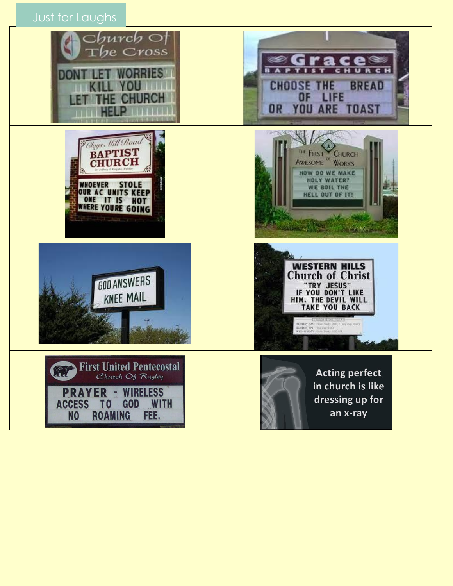Just for Laughs

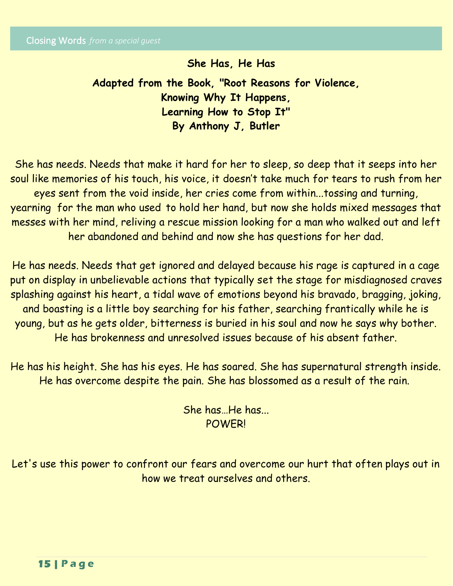I

# **She Has, He Has**

**Adapted from the Book, "Root Reasons for Violence, Knowing Why It Happens, Learning How to Stop It" By Anthony J, Butler** 

She has needs. Needs that make it hard for her to sleep, so deep that it seeps into her soul like memories of his touch, his voice, it doesn't take much for tears to rush from her eyes sent from the void inside, her cries come from within...tossing and turning, yearning for the man who used to hold her hand, but now she holds mixed messages that messes with her mind, reliving a rescue mission looking for a man who walked out and left her abandoned and behind and now she has questions for her dad.

He has needs. Needs that get ignored and delayed because his rage is captured in a cage put on display in unbelievable actions that typically set the stage for misdiagnosed craves splashing against his heart, a tidal wave of emotions beyond his bravado, bragging, joking, and boasting is a little boy searching for his father, searching frantically while he is young, but as he gets older, bitterness is buried in his soul and now he says why bother. He has brokenness and unresolved issues because of his absent father.

He has his height. She has his eyes. He has soared. She has supernatural strength inside. He has overcome despite the pain. She has blossomed as a result of the rain.

> She has…He has... POWER!

Let's use this power to confront our fears and overcome our hurt that often plays out in how we treat ourselves and others.